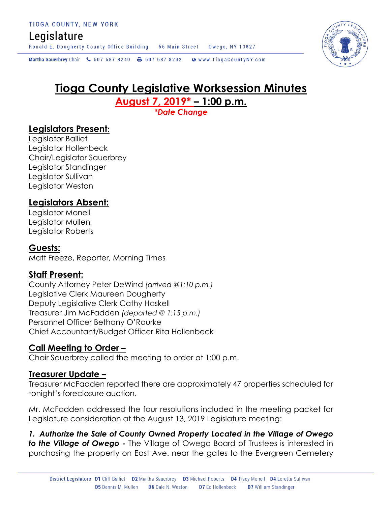# Legislature

Ronald E. Dougherty County Office Building 56 Main Street Owego, NY 13827

Martha Sauerbrey Chair & 607 687 8240 A 607 687 8232 @ www.TiogaCountyNY.com

# **Tioga County Legislative Worksession Minutes August 7, 2019\* – 1:00 p.m.**

*\*Date Change*

# **Legislators Present:**

Legislator Balliet Legislator Hollenbeck Chair/Legislator Sauerbrey Legislator Standinger Legislator Sullivan Legislator Weston

# **Legislators Absent:**

Legislator Monell Legislator Mullen Legislator Roberts

## **Guests:**

Matt Freeze, Reporter, Morning Times

## **Staff Present:**

County Attorney Peter DeWind *(arrived @1:10 p.m.)* Legislative Clerk Maureen Dougherty Deputy Legislative Clerk Cathy Haskell Treasurer Jim McFadden *(departed @ 1:15 p.m.)* Personnel Officer Bethany O'Rourke Chief Accountant/Budget Officer Rita Hollenbeck

## **Call Meeting to Order –**

Chair Sauerbrey called the meeting to order at 1:00 p.m.

## **Treasurer Update –**

Treasurer McFadden reported there are approximately 47 properties scheduled for tonight's foreclosure auction.

Mr. McFadden addressed the four resolutions included in the meeting packet for Legislature consideration at the August 13, 2019 Legislature meeting:

*1. Authorize the Sale of County Owned Property Located in the Village of Owego to the Village of Owego -* The Village of Owego Board of Trustees is interested in purchasing the property on East Ave. near the gates to the Evergreen Cemetery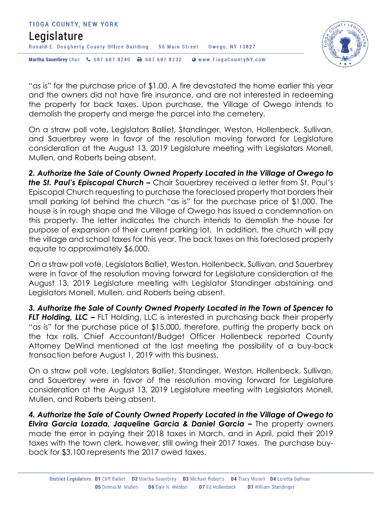



"as is" for the purchase price of \$1.00. A fire devastated the home earlier this year and the owners did not have fire insurance, and are not interested in redeeming the property for back taxes. Upon purchase, the Village of Owego intends to demolish the property and merge the parcel into the cemetery.

On a straw poll vote, Legislators Balliet, Standinger, Weston, Hollenbeck, Sullivan, and Sauerbrey were in favor of the resolution moving forward for Legislature consideration at the August 13, 2019 Legislature meeting with Legislators Monell, Mullen, and Roberts being absent.

*2. Authorize the Sale of County Owned Property Located in the Village of Owego to the St. Paul's Episcopal Church –* Chair Sauerbrey received a letter from St. Paul's Episcopal Church requesting to purchase the foreclosed property that borders their small parking lot behind the church "as is" for the purchase price of \$1,000. The house is in rough shape and the Village of Owego has issued a condemnation on this property. The letter indicates the church intends to demolish the house for purpose of expansion of their current parking lot. In addition, the church will pay the village and school taxes for this year. The back taxes on this foreclosed property equate to approximately \$6,000.

On a straw poll vote, Legislators Balliet, Weston, Hollenbeck, Sullivan, and Sauerbrey were in favor of the resolution moving forward for Legislature consideration at the August 13, 2019 Legislature meeting with Legislator Standinger abstaining and Legislators Monell, Mullen, and Roberts being absent.

*3. Authorize the Sale of County Owned Property Located in the Town of Spencer to FLT Holding, LLC – FLT Holding, LLC is interested in purchasing back their property* "as is" for the purchase price of \$15,000, therefore, putting the property back on the tax rolls. Chief Accountant/Budget Officer Hollenbeck reported County Attorney DeWind mentioned at the last meeting the possibility of a buy-back transaction before August 1, 2019 with this business.

On a straw poll vote, Legislators Balliet, Standinger, Weston, Hollenbeck, Sullivan, and Sauerbrey were in favor of the resolution moving forward for Legislature consideration at the August 13, 2019 Legislature meeting with Legislators Monell, Mullen, and Roberts being absent.

*4. Authorize the Sale of County Owned Property Located in the Village of Owego to Elvira Garcia Lozada, Jaqueline Garcia & Daniel Garcia –* **The property owners** made the error in paying their 2018 taxes in March, and in April, paid their 2019 taxes with the town clerk, however, still owing their 2017 taxes. The purchase buyback for \$3,100 represents the 2017 owed taxes.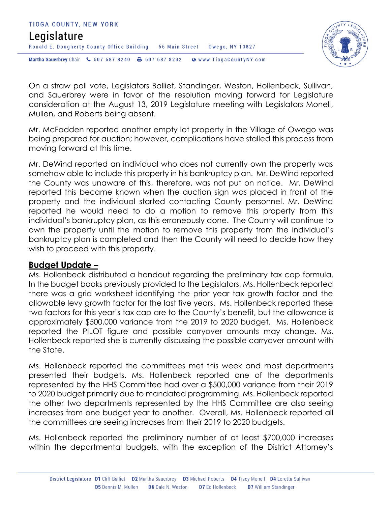



On a straw poll vote, Legislators Balliet, Standinger, Weston, Hollenbeck, Sullivan, and Sauerbrey were in favor of the resolution moving forward for Legislature consideration at the August 13, 2019 Legislature meeting with Legislators Monell, Mullen, and Roberts being absent.

Mr. McFadden reported another empty lot property in the Village of Owego was being prepared for auction; however, complications have stalled this process from moving forward at this time.

Mr. DeWind reported an individual who does not currently own the property was somehow able to include this property in his bankruptcy plan. Mr. DeWind reported the County was unaware of this, therefore, was not put on notice. Mr. DeWind reported this became known when the auction sign was placed in front of the property and the individual started contacting County personnel. Mr. DeWind reported he would need to do a motion to remove this property from this individual's bankruptcy plan, as this erroneously done. The County will continue to own the property until the motion to remove this property from the individual's bankruptcy plan is completed and then the County will need to decide how they wish to proceed with this property.

### **Budget Update –**

Ms. Hollenbeck distributed a handout regarding the preliminary tax cap formula. In the budget books previously provided to the Legislators, Ms. Hollenbeck reported there was a grid worksheet identifying the prior year tax growth factor and the allowable levy growth factor for the last five years. Ms. Hollenbeck reported these two factors for this year's tax cap are to the County's benefit, but the allowance is approximately \$500,000 variance from the 2019 to 2020 budget. Ms. Hollenbeck reported the PILOT figure and possible carryover amounts may change. Ms. Hollenbeck reported she is currently discussing the possible carryover amount with the State.

Ms. Hollenbeck reported the committees met this week and most departments presented their budgets. Ms. Hollenbeck reported one of the departments represented by the HHS Committee had over a \$500,000 variance from their 2019 to 2020 budget primarily due to mandated programming. Ms. Hollenbeck reported the other two departments represented by the HHS Committee are also seeing increases from one budget year to another. Overall, Ms. Hollenbeck reported all the committees are seeing increases from their 2019 to 2020 budgets.

Ms. Hollenbeck reported the preliminary number of at least \$700,000 increases within the departmental budgets, with the exception of the District Attorney's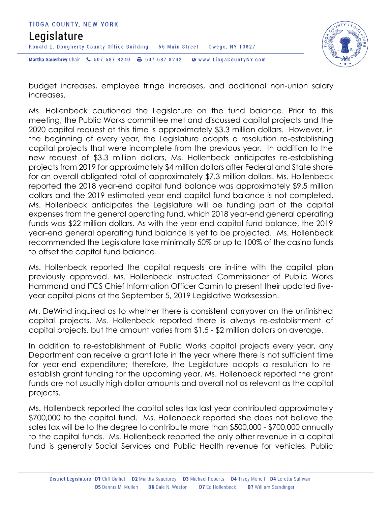



budget increases, employee fringe increases, and additional non-union salary increases.

Ms. Hollenbeck cautioned the Legislature on the fund balance. Prior to this meeting, the Public Works committee met and discussed capital projects and the 2020 capital request at this time is approximately \$3.3 million dollars. However, in the beginning of every year, the Legislature adopts a resolution re-establishing capital projects that were incomplete from the previous year. In addition to the new request of \$3.3 million dollars, Ms. Hollenbeck anticipates re-establishing projects from 2019 for approximately \$4 million dollars after Federal and State share for an overall obligated total of approximately \$7.3 million dollars. Ms. Hollenbeck reported the 2018 year-end capital fund balance was approximately \$9.5 million dollars and the 2019 estimated year-end capital fund balance is not completed. Ms. Hollenbeck anticipates the Legislature will be funding part of the capital expenses from the general operating fund, which 2018 year-end general operating funds was \$22 million dollars. As with the year-end capital fund balance, the 2019 year-end general operating fund balance is yet to be projected. Ms. Hollenbeck recommended the Legislature take minimally 50% or up to 100% of the casino funds to offset the capital fund balance.

Ms. Hollenbeck reported the capital requests are in-line with the capital plan previously approved. Ms. Hollenbeck instructed Commissioner of Public Works Hammond and ITCS Chief Information Officer Camin to present their updated fiveyear capital plans at the September 5, 2019 Legislative Worksession.

Mr. DeWind inquired as to whether there is consistent carryover on the unfinished capital projects. Ms. Hollenbeck reported there is always re-establishment of capital projects, but the amount varies from \$1.5 - \$2 million dollars on average.

In addition to re-establishment of Public Works capital projects every year, any Department can receive a grant late in the year where there is not sufficient time for year-end expenditure; therefore, the Legislature adopts a resolution to reestablish grant funding for the upcoming year. Ms. Hollenbeck reported the grant funds are not usually high dollar amounts and overall not as relevant as the capital projects.

Ms. Hollenbeck reported the capital sales tax last year contributed approximately \$700,000 to the capital fund. Ms. Hollenbeck reported she does not believe the sales tax will be to the degree to contribute more than \$500,000 - \$700,000 annually to the capital funds. Ms. Hollenbeck reported the only other revenue in a capital fund is generally Social Services and Public Health revenue for vehicles, Public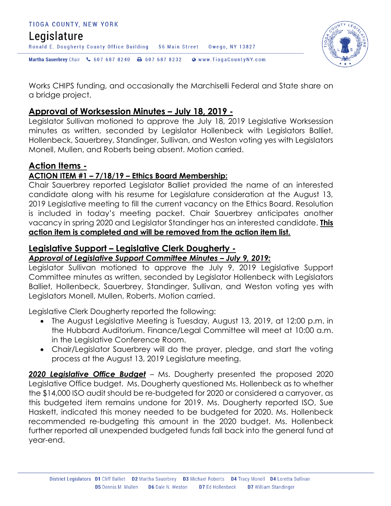



Works CHIPS funding, and occasionally the Marchiselli Federal and State share on a bridge project.

## **Approval of Worksession Minutes – July 18, 2019 -**

Legislator Sullivan motioned to approve the July 18, 2019 Legislative Worksession minutes as written, seconded by Legislator Hollenbeck with Legislators Balliet, Hollenbeck, Sauerbrey, Standinger, Sullivan, and Weston voting yes with Legislators Monell, Mullen, and Roberts being absent. Motion carried.

# **Action Items -**

#### **ACTION ITEM #1 – 7/18/19 – Ethics Board Membership:**

Chair Sauerbrey reported Legislator Balliet provided the name of an interested candidate along with his resume for Legislature consideration at the August 13, 2019 Legislative meeting to fill the current vacancy on the Ethics Board. Resolution is included in today's meeting packet. Chair Sauerbrey anticipates another vacancy in spring 2020 and Legislator Standinger has an interested candidate. **This action item is completed and will be removed from the action item list.** 

### **Legislative Support – Legislative Clerk Dougherty -**

### *Approval of Legislative Support Committee Minutes – July 9, 2019:*

Legislator Sullivan motioned to approve the July 9, 2019 Legislative Support Committee minutes as written, seconded by Legislator Hollenbeck with Legislators Balliet, Hollenbeck, Sauerbrey, Standinger, Sullivan, and Weston voting yes with Legislators Monell, Mullen, Roberts. Motion carried.

Legislative Clerk Dougherty reported the following:

- The August Legislative Meeting is Tuesday, August 13, 2019, at 12:00 p.m. in the Hubbard Auditorium. Finance/Legal Committee will meet at 10:00 a.m. in the Legislative Conference Room.
- Chair/Legislator Sauerbrey will do the prayer, pledge, and start the voting process at the August 13, 2019 Legislature meeting.

*2020 Legislative Office Budget* – Ms. Dougherty presented the proposed 2020 Legislative Office budget. Ms. Dougherty questioned Ms. Hollenbeck as to whether the \$14,000 ISO audit should be re-budgeted for 2020 or considered a carryover, as this budgeted item remains undone for 2019. Ms. Dougherty reported ISO, Sue Haskett, indicated this money needed to be budgeted for 2020. Ms. Hollenbeck recommended re-budgeting this amount in the 2020 budget. Ms. Hollenbeck further reported all unexpended budgeted funds fall back into the general fund at year-end.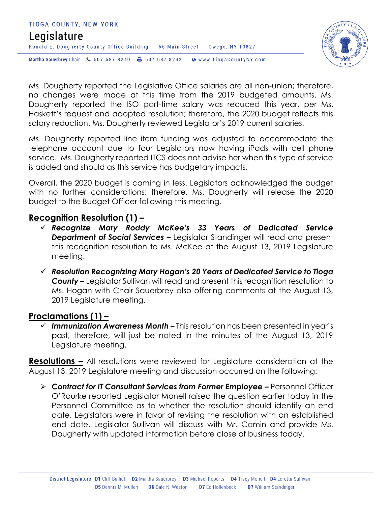# TIOGA COUNTY, NEW YORK Legislature Ronald E. Dougherty County Office Building 56 Main Street Owego, NY 13827 Martha Sauerbrey Chair & 607 687 8240 <a>B</a>607 687 8232 <a>B</a>Www.TiogaCountyNY.com



Ms. Dougherty reported the Legislative Office salaries are all non-union; therefore, no changes were made at this time from the 2019 budgeted amounts. Ms. Dougherty reported the ISO part-time salary was reduced this year, per Ms. Haskett's request and adopted resolution; therefore, the 2020 budget reflects this salary reduction. Ms. Dougherty reviewed Legislator's 2019 current salaries.

Ms. Dougherty reported line item funding was adjusted to accommodate the telephone account due to four Legislators now having iPads with cell phone service. Ms. Dougherty reported ITCS does not advise her when this type of service is added and should as this service has budgetary impacts.

Overall, the 2020 budget is coming in less. Legislators acknowledged the budget with no further considerations; therefore, Ms. Dougherty will release the 2020 budget to the Budget Officer following this meeting.

### **Recognition Resolution (1) –**

- *Recognize Mary Roddy McKee's 33 Years of Dedicated Service Department of Social Services –* Legislator Standinger will read and present this recognition resolution to Ms. McKee at the August 13, 2019 Legislature meeting.
- *Resolution Recognizing Mary Hogan's 20 Years of Dedicated Service to Tioga County –* Legislator Sullivan will read and present this recognition resolution to Ms. Hogan with Chair Sauerbrey also offering comments at the August 13, 2019 Legislature meeting.

# **Proclamations (1) –**

 *Immunization Awareness Month –* This resolution has been presented in year's past, therefore, will just be noted in the minutes of the August 13, 2019 Legislature meeting.

**Resolutions –** All resolutions were reviewed for Legislature consideration at the August 13, 2019 Legislature meeting and discussion occurred on the following:

 *Contract for IT Consultant Services from Former Employee –* Personnel Officer O'Rourke reported Legislator Monell raised the question earlier today in the Personnel Committee as to whether the resolution should identify an end date. Legislators were in favor of revising the resolution with an established end date. Legislator Sullivan will discuss with Mr. Camin and provide Ms. Dougherty with updated information before close of business today.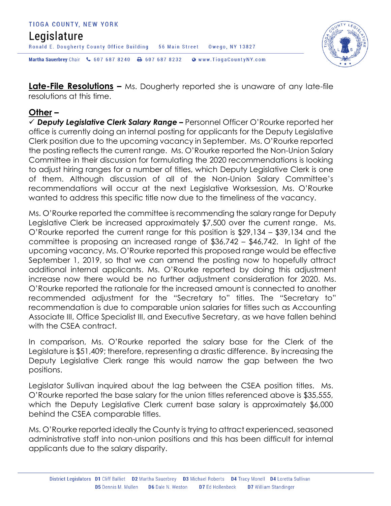#### TIOGA COUNTY, NEW YORK Legislature Ronald E. Dougherty County Office Building 56 Main Street Owego, NY 13827 Martha Sauerbrey Chair & 607 687 8240 <a>B</a>607 687 8232 <a>B</a>Www.TiogaCountyNY.com



**Late-File Resolutions –** Ms. Dougherty reported she is unaware of any late-file resolutions at this time.

### **Other –**

 *Deputy Legislative Clerk Salary Range –* Personnel Officer O'Rourke reported her office is currently doing an internal posting for applicants for the Deputy Legislative Clerk position due to the upcoming vacancy in September. Ms. O'Rourke reported the posting reflects the current range. Ms. O'Rourke reported the Non-Union Salary Committee in their discussion for formulating the 2020 recommendations is looking to adjust hiring ranges for a number of titles, which Deputy Legislative Clerk is one of them. Although discussion of all of the Non-Union Salary Committee's recommendations will occur at the next Legislative Worksession, Ms. O'Rourke wanted to address this specific title now due to the timeliness of the vacancy.

Ms. O'Rourke reported the committee is recommending the salary range for Deputy Legislative Clerk be increased approximately \$7,500 over the current range. Ms. O'Rourke reported the current range for this position is \$29,134 – \$39,134 and the committee is proposing an increased range of \$36,742 – \$46,742. In light of the upcoming vacancy, Ms. O'Rourke reported this proposed range would be effective September 1, 2019, so that we can amend the posting now to hopefully attract additional internal applicants. Ms. O'Rourke reported by doing this adjustment increase now there would be no further adjustment consideration for 2020. Ms. O'Rourke reported the rationale for the increased amount is connected to another recommended adjustment for the "Secretary to" titles. The "Secretary to" recommendation is due to comparable union salaries for titles such as Accounting Associate III, Office Specialist III, and Executive Secretary, as we have fallen behind with the CSEA contract.

In comparison, Ms. O'Rourke reported the salary base for the Clerk of the Legislature is \$51,409; therefore, representing a drastic difference. By increasing the Deputy Legislative Clerk range this would narrow the gap between the two positions.

Legislator Sullivan inquired about the lag between the CSEA position titles. Ms. O'Rourke reported the base salary for the union titles referenced above is \$35,555, which the Deputy Legislative Clerk current base salary is approximately \$6,000 behind the CSEA comparable titles.

Ms. O'Rourke reported ideally the County is trying to attract experienced, seasoned administrative staff into non-union positions and this has been difficult for internal applicants due to the salary disparity.